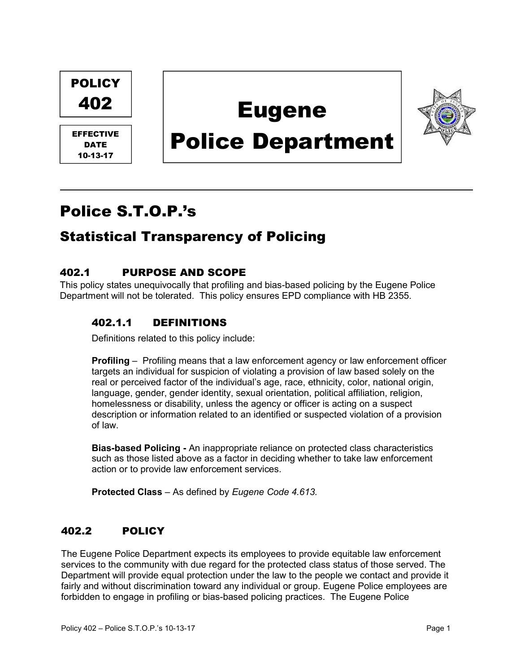

# Police S.T.O.P.'s

## Statistical Transparency of Policing

## 402.1 PURPOSE AND SCOPE

This policy states unequivocally that profiling and bias-based policing by the Eugene Police Department will not be tolerated. This policy ensures EPD compliance with HB 2355.

#### 402.1.1 DEFINITIONS

Definitions related to this policy include:

Profiling – Profiling means that a law enforcement agency or law enforcement officer targets an individual for suspicion of violating a provision of law based solely on the real or perceived factor of the individual's age, race, ethnicity, color, national origin, language, gender, gender identity, sexual orientation, political affiliation, religion, homelessness or disability, unless the agency or officer is acting on a suspect description or information related to an identified or suspected violation of a provision of law.

Bias-based Policing - An inappropriate reliance on protected class characteristics such as those listed above as a factor in deciding whether to take law enforcement action or to provide law enforcement services.

Protected Class – As defined by Eugene Code 4.613.

#### 402.2 POLICY

The Eugene Police Department expects its employees to provide equitable law enforcement services to the community with due regard for the protected class status of those served. The Department will provide equal protection under the law to the people we contact and provide it fairly and without discrimination toward any individual or group. Eugene Police employees are forbidden to engage in profiling or bias-based policing practices. The Eugene Police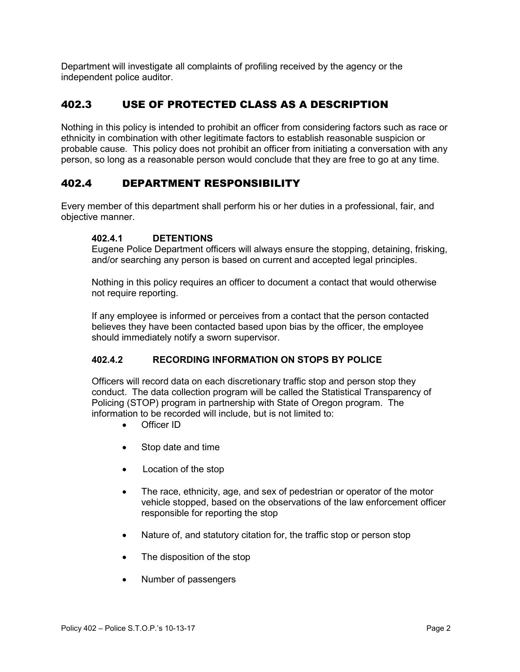Department will investigate all complaints of profiling received by the agency or the independent police auditor.

## 402.3 USE OF PROTECTED CLASS AS A DESCRIPTION

Nothing in this policy is intended to prohibit an officer from considering factors such as race or ethnicity in combination with other legitimate factors to establish reasonable suspicion or probable cause. This policy does not prohibit an officer from initiating a conversation with any person, so long as a reasonable person would conclude that they are free to go at any time.

#### 402.4 DEPARTMENT RESPONSIBILITY

Every member of this department shall perform his or her duties in a professional, fair, and objective manner.

#### 402.4.1 DETENTIONS

Eugene Police Department officers will always ensure the stopping, detaining, frisking, and/or searching any person is based on current and accepted legal principles.

Nothing in this policy requires an officer to document a contact that would otherwise not require reporting.

If any employee is informed or perceives from a contact that the person contacted believes they have been contacted based upon bias by the officer, the employee should immediately notify a sworn supervisor.

#### 402.4.2 RECORDING INFORMATION ON STOPS BY POLICE

Officers will record data on each discretionary traffic stop and person stop they conduct. The data collection program will be called the Statistical Transparency of Policing (STOP) program in partnership with State of Oregon program. The information to be recorded will include, but is not limited to:

- Officer ID
- Stop date and time
- Location of the stop
- The race, ethnicity, age, and sex of pedestrian or operator of the motor vehicle stopped, based on the observations of the law enforcement officer responsible for reporting the stop
- Nature of, and statutory citation for, the traffic stop or person stop
- The disposition of the stop
- Number of passengers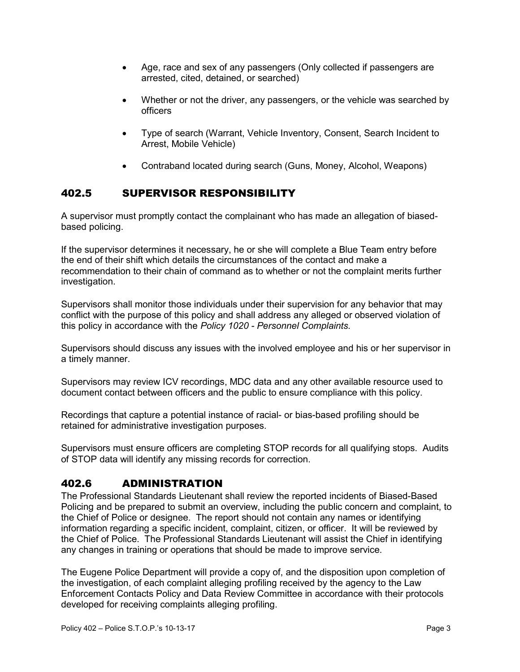- Age, race and sex of any passengers (Only collected if passengers are arrested, cited, detained, or searched)
- Whether or not the driver, any passengers, or the vehicle was searched by officers
- Type of search (Warrant, Vehicle Inventory, Consent, Search Incident to Arrest, Mobile Vehicle)
- Contraband located during search (Guns, Money, Alcohol, Weapons)

#### 402.5 SUPERVISOR RESPONSIBILITY

A supervisor must promptly contact the complainant who has made an allegation of biasedbased policing.

If the supervisor determines it necessary, he or she will complete a Blue Team entry before the end of their shift which details the circumstances of the contact and make a recommendation to their chain of command as to whether or not the complaint merits further investigation.

Supervisors shall monitor those individuals under their supervision for any behavior that may conflict with the purpose of this policy and shall address any alleged or observed violation of this policy in accordance with the Policy 1020 - Personnel Complaints.

Supervisors should discuss any issues with the involved employee and his or her supervisor in a timely manner.

Supervisors may review ICV recordings, MDC data and any other available resource used to document contact between officers and the public to ensure compliance with this policy.

Recordings that capture a potential instance of racial- or bias-based profiling should be retained for administrative investigation purposes.

Supervisors must ensure officers are completing STOP records for all qualifying stops. Audits of STOP data will identify any missing records for correction.

#### 402.6 ADMINISTRATION

The Professional Standards Lieutenant shall review the reported incidents of Biased-Based Policing and be prepared to submit an overview, including the public concern and complaint, to the Chief of Police or designee. The report should not contain any names or identifying information regarding a specific incident, complaint, citizen, or officer. It will be reviewed by the Chief of Police. The Professional Standards Lieutenant will assist the Chief in identifying any changes in training or operations that should be made to improve service.

The Eugene Police Department will provide a copy of, and the disposition upon completion of the investigation, of each complaint alleging profiling received by the agency to the Law Enforcement Contacts Policy and Data Review Committee in accordance with their protocols developed for receiving complaints alleging profiling.